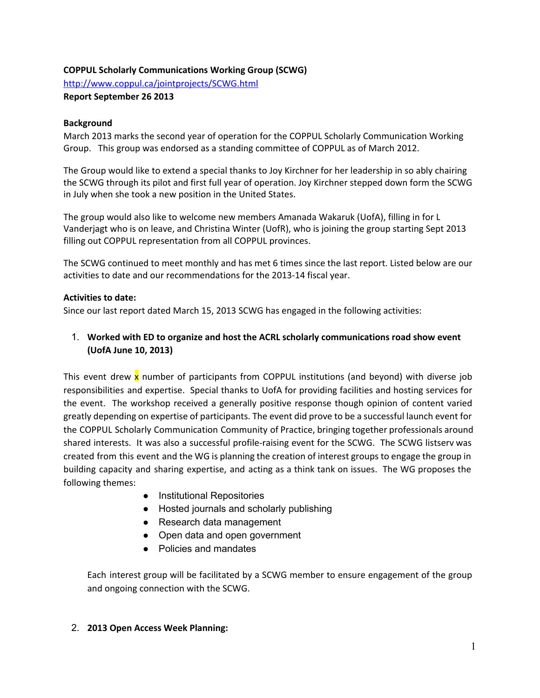## **COPPUL Scholarly Communications Working Group (SCWG)**

<http://www.coppul.ca/jointprojects/SCWG.html>

**Report September 26 2013**

### **Background**

March 2013 marks the second year of operation for the COPPUL Scholarly Communication Working Group. This group was endorsed as a standing committee of COPPUL as of March 2012.

The Group would like to extend a special thanks to Joy Kirchner for her leadership in so ably chairing the SCWG through its pilot and first full year of operation. Joy Kirchner stepped down form the SCWG in July when she took a new position in the United States.

The group would also like to welcome new members Amanada Wakaruk (UofA), filling in for L Vanderjagt who is on leave, and Christina Winter (UofR), who is joining the group starting Sept 2013 filling out COPPUL representation from all COPPUL provinces.

The SCWG continued to meet monthly and has met 6 times since the last report. Listed below are our activities to date and our recommendations for the 2013‐14 fiscal year.

### **Activities to date:**

Since our last report dated March 15, 2013 SCWG has engaged in the following activities:

# 1. **Worked with ED to organize and host the ACRL scholarly communications road show event (UofA June 10, 2013)**

This event drew  $x$  number of participants from COPPUL institutions (and beyond) with diverse job responsibilities and expertise. Special thanks to UofA for providing facilities and hosting services for the event. The workshop received a generally positive response though opinion of content varied greatly depending on expertise of participants. The event did prove to be a successful launch event for the COPPUL Scholarly Communication Community of Practice, bringing together professionals around shared interests. It was also a successful profile-raising event for the SCWG. The SCWG listserv was created from this event and the WG is planning the creation of interest groups to engage the group in building capacity and sharing expertise, and acting as a think tank on issues. The WG proposes the following themes:

- Institutional Repositories
- Hosted journals and scholarly publishing
- Research data management
- Open data and open government
- Policies and mandates

Each interest group will be facilitated by a SCWG member to ensure engagement of the group and ongoing connection with the SCWG.

## 2. **2013 Open Access Week Planning:**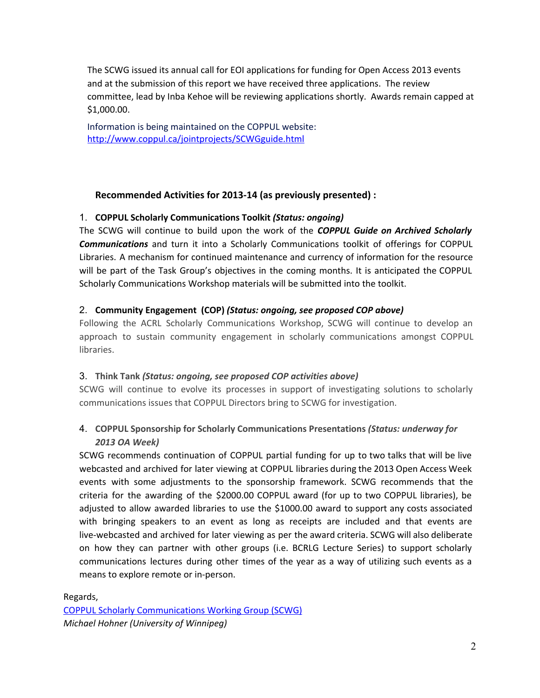The SCWG issued its annual call for EOI applications for funding for Open Access 2013 events and at the submission of this report we have received three applications. The review committee, lead by Inba Kehoe will be reviewing applications shortly. Awards remain capped at \$1,000.00.

Information is being maintained on the COPPUL webs[ite](http://www.coppul.ca/jointprojects/SCWGguide.html): <http://www.coppul.ca/jointprojects/SCWGguide.html>

## **Recommended Activities for 2013‐14 (as previously presented) :**

#### 1. **COPPUL Scholarly Communications Toolkit** *(Status: ongoing)*

The SCWG will continue to build upon the work of the *COPPUL Guide on Archived Scholarly Communications* and turn it into a Scholarly Communications toolkit of offerings for COPPUL Libraries. A mechanism for continued maintenance and currency of information for the resource will be part of the Task Group's objectives in the coming months. It is anticipated the COPPUL Scholarly Communications Workshop materials will be submitted into the toolkit.

### 2. **Community Engagement (COP)** *(Status: ongoing, see proposed COP above)*

Following the ACRL Scholarly Communications Workshop, SCWG will continue to develop an approach to sustain community engagement in scholarly communications amongst COPPUL libraries.

#### 3. **Think Tank** *(Status: ongoing, see proposed COP activities above)*

SCWG will continue to evolve its processes in support of investigating solutions to scholarly communications issues that COPPUL Directors bring to SCWG for investigation.

# 4. **COPPUL Sponsorship for Scholarly Communications Presentations** *(Status: underway for 2013 OA Week)*

SCWG recommends continuation of COPPUL partial funding for up to two talks that will be live webcasted and archived for later viewing at COPPUL libraries during the 2013 Open Access Week events with some adjustments to the sponsorship framework. SCWG recommends that the criteria for the awarding of the \$2000.00 COPPUL award (for up to two COPPUL libraries), be adjusted to allow awarded libraries to use the \$1000.00 award to support any costs associated with bringing speakers to an event as long as receipts are included and that events are live‐webcasted and archived for later viewing as per the award criteria. SCWG will also deliberate on how they can partner with other groups (i.e. BCRLG Lecture Series) to support scholarly communications lectures during other times of the year as a way of utilizing such events as a means to explore remote or in‐person.

#### Regards,

COPPUL Scholarly [Communications](http://www.coppul.ca/jointprojects/SCWG.html) Working Group (SCWG) *Michael Hohner (University of Winnipeg)*